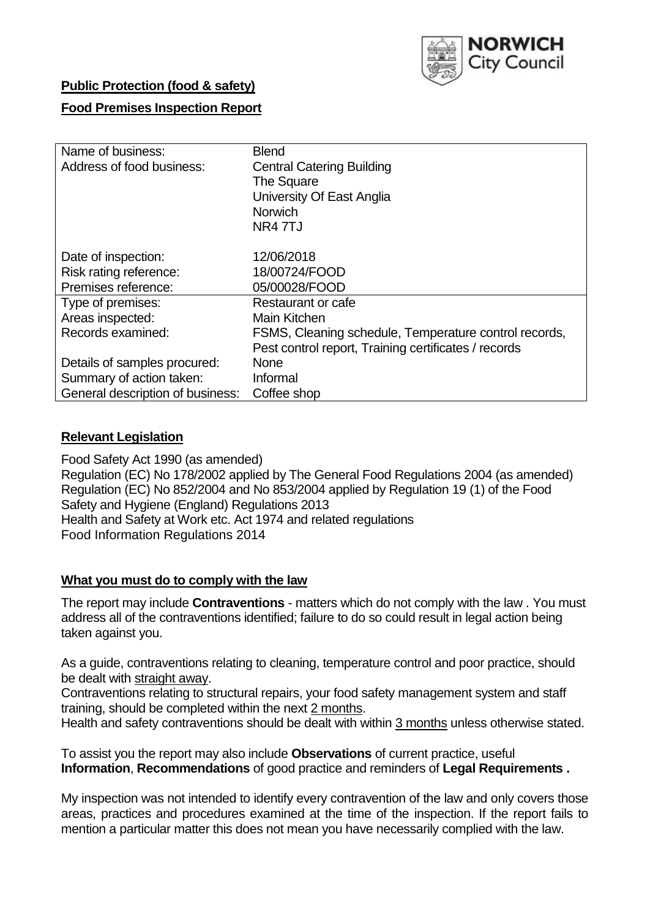

## **Public Protection (food & safety)**

# **Food Premises Inspection Report**

| Name of business:                | <b>Blend</b>                                          |
|----------------------------------|-------------------------------------------------------|
| Address of food business:        | <b>Central Catering Building</b>                      |
|                                  | The Square                                            |
|                                  | University Of East Anglia                             |
|                                  | <b>Norwich</b>                                        |
|                                  | NR4 7TJ                                               |
|                                  |                                                       |
| Date of inspection:              | 12/06/2018                                            |
| Risk rating reference:           | 18/00724/FOOD                                         |
| Premises reference:              | 05/00028/FOOD                                         |
| Type of premises:                | Restaurant or cafe                                    |
| Areas inspected:                 | Main Kitchen                                          |
| Records examined:                | FSMS, Cleaning schedule, Temperature control records, |
|                                  | Pest control report, Training certificates / records  |
| Details of samples procured:     | <b>None</b>                                           |
| Summary of action taken:         | Informal                                              |
| General description of business: | Coffee shop                                           |

#### **Relevant Legislation**

Food Safety Act 1990 (as amended) Regulation (EC) No 178/2002 applied by The General Food Regulations 2004 (as amended) Regulation (EC) No 852/2004 and No 853/2004 applied by Regulation 19 (1) of the Food Safety and Hygiene (England) Regulations 2013 Health and Safety at Work etc. Act 1974 and related regulations Food Information Regulations 2014

#### **What you must do to comply with the law**

The report may include **Contraventions** - matters which do not comply with the law . You must address all of the contraventions identified; failure to do so could result in legal action being taken against you.

As a guide, contraventions relating to cleaning, temperature control and poor practice, should be dealt with straight away.

Contraventions relating to structural repairs, your food safety management system and staff training, should be completed within the next 2 months.

Health and safety contraventions should be dealt with within 3 months unless otherwise stated.

To assist you the report may also include **Observations** of current practice, useful **Information**, **Recommendations** of good practice and reminders of **Legal Requirements .**

My inspection was not intended to identify every contravention of the law and only covers those areas, practices and procedures examined at the time of the inspection. If the report fails to mention a particular matter this does not mean you have necessarily complied with the law.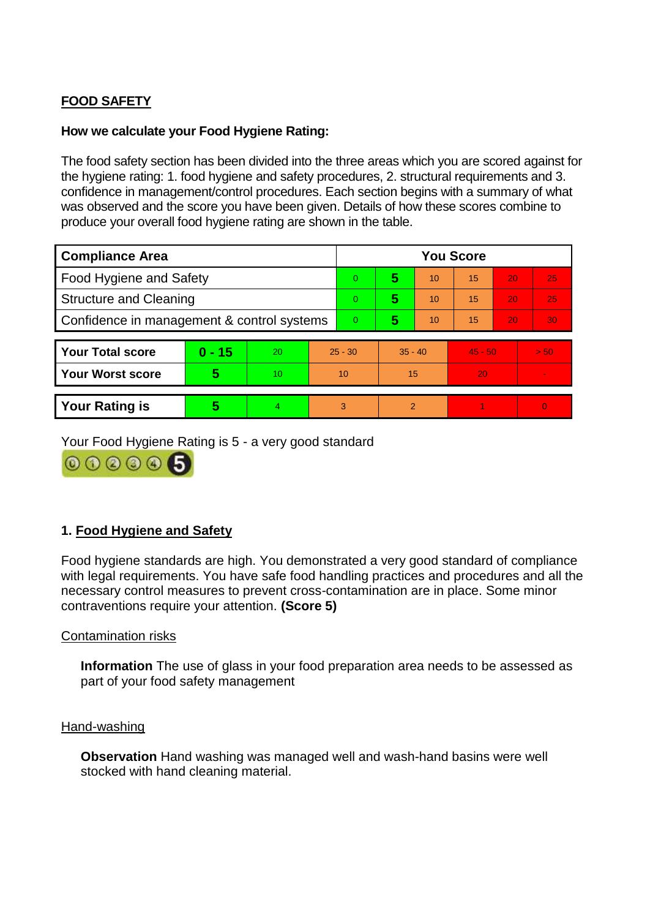# **FOOD SAFETY**

#### **How we calculate your Food Hygiene Rating:**

The food safety section has been divided into the three areas which you are scored against for the hygiene rating: 1. food hygiene and safety procedures, 2. structural requirements and 3. confidence in management/control procedures. Each section begins with a summary of what was observed and the score you have been given. Details of how these scores combine to produce your overall food hygiene rating are shown in the table.

| <b>Compliance Area</b>                     |          |    |           | <b>You Score</b> |           |    |           |    |          |  |  |
|--------------------------------------------|----------|----|-----------|------------------|-----------|----|-----------|----|----------|--|--|
| Food Hygiene and Safety                    |          |    |           | $\overline{0}$   | 5         | 10 | 15        | 20 | 25       |  |  |
| <b>Structure and Cleaning</b>              |          |    | $\Omega$  | 5                | 10        | 15 | <b>20</b> | 25 |          |  |  |
| Confidence in management & control systems |          |    | $\Omega$  | 5                | 10        | 15 | 20        | 30 |          |  |  |
|                                            |          |    |           |                  |           |    |           |    |          |  |  |
| <b>Your Total score</b>                    | $0 - 15$ | 20 | $25 - 30$ |                  | $35 - 40$ |    | $45 - 50$ |    | > 50     |  |  |
| <b>Your Worst score</b>                    | 5        | 10 | 10        |                  | 15        |    | 20        |    |          |  |  |
|                                            |          |    |           |                  |           |    |           |    |          |  |  |
| <b>Your Rating is</b>                      | 5        |    | 3         |                  | 2         |    |           |    | $\Omega$ |  |  |

Your Food Hygiene Rating is 5 - a very good standard

000006

# **1. Food Hygiene and Safety**

Food hygiene standards are high. You demonstrated a very good standard of compliance with legal requirements. You have safe food handling practices and procedures and all the necessary control measures to prevent cross-contamination are in place. Some minor contraventions require your attention. **(Score 5)**

#### Contamination risks

**Information** The use of glass in your food preparation area needs to be assessed as part of your food safety management

#### Hand-washing

**Observation** Hand washing was managed well and wash-hand basins were well stocked with hand cleaning material.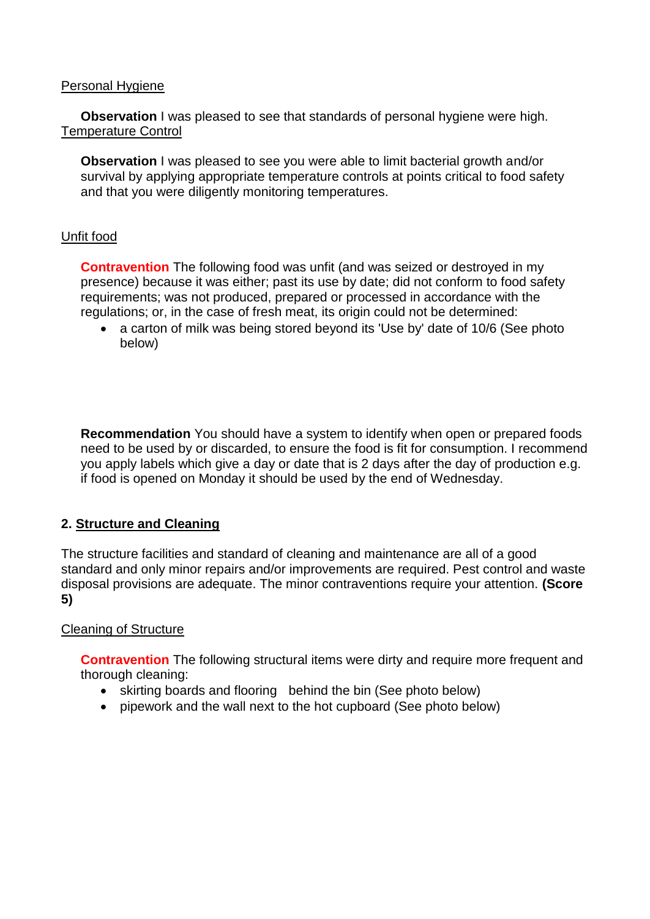#### Personal Hygiene

**Observation** I was pleased to see that standards of personal hygiene were high. Temperature Control

**Observation I** was pleased to see you were able to limit bacterial growth and/or survival by applying appropriate temperature controls at points critical to food safety and that you were diligently monitoring temperatures.

## Unfit food

**Contravention** The following food was unfit (and was seized or destroyed in my presence) because it was either; past its use by date; did not conform to food safety requirements; was not produced, prepared or processed in accordance with the regulations; or, in the case of fresh meat, its origin could not be determined:

 a carton of milk was being stored beyond its 'Use by' date of 10/6 (See photo below)

**Recommendation** You should have a system to identify when open or prepared foods need to be used by or discarded, to ensure the food is fit for consumption. I recommend you apply labels which give a day or date that is 2 days after the day of production e.g. if food is opened on Monday it should be used by the end of Wednesday.

# **2. Structure and Cleaning**

The structure facilities and standard of cleaning and maintenance are all of a good standard and only minor repairs and/or improvements are required. Pest control and waste disposal provisions are adequate. The minor contraventions require your attention. **(Score 5)**

#### Cleaning of Structure

**Contravention** The following structural items were dirty and require more frequent and thorough cleaning:

- skirting boards and flooring behind the bin (See photo below)
- pipework and the wall next to the hot cupboard (See photo below)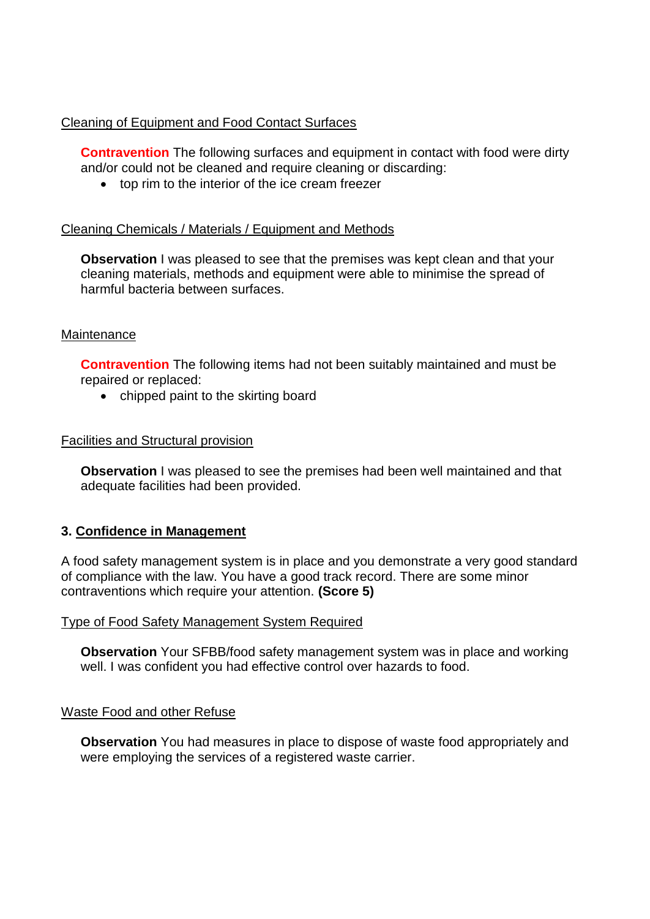### Cleaning of Equipment and Food Contact Surfaces

**Contravention** The following surfaces and equipment in contact with food were dirty and/or could not be cleaned and require cleaning or discarding:

top rim to the interior of the ice cream freezer

#### Cleaning Chemicals / Materials / Equipment and Methods

**Observation** I was pleased to see that the premises was kept clean and that your cleaning materials, methods and equipment were able to minimise the spread of harmful bacteria between surfaces.

#### **Maintenance**

**Contravention** The following items had not been suitably maintained and must be repaired or replaced:

• chipped paint to the skirting board

#### Facilities and Structural provision

**Observation I** was pleased to see the premises had been well maintained and that adequate facilities had been provided.

#### **3. Confidence in Management**

A food safety management system is in place and you demonstrate a very good standard of compliance with the law. You have a good track record. There are some minor contraventions which require your attention. **(Score 5)**

#### Type of Food Safety Management System Required

**Observation** Your SFBB/food safety management system was in place and working well. I was confident you had effective control over hazards to food.

#### Waste Food and other Refuse

**Observation** You had measures in place to dispose of waste food appropriately and were employing the services of a registered waste carrier.